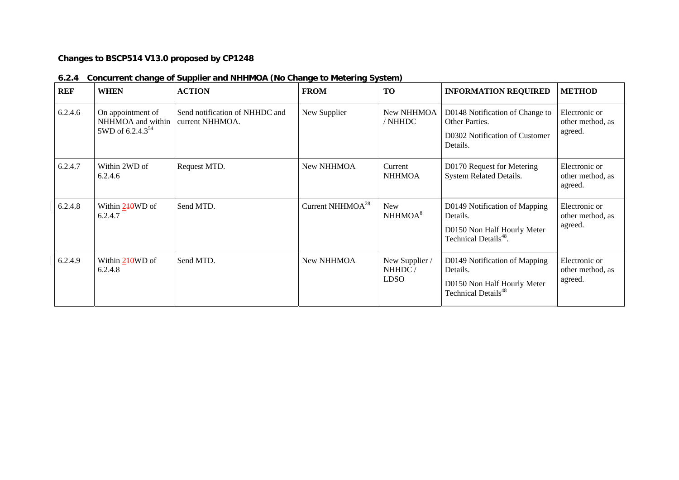## **Changes to BSCP514 V13.0 proposed by CP1248**

| <b>REF</b> | <b>WHEN</b>                                                            | <b>ACTION</b>                                     | <b>FROM</b>            | <b>TO</b>                               | <b>INFORMATION REQUIRED</b>                                                                                   | <b>METHOD</b>                                |
|------------|------------------------------------------------------------------------|---------------------------------------------------|------------------------|-----------------------------------------|---------------------------------------------------------------------------------------------------------------|----------------------------------------------|
| 6.2.4.6    | On appointment of<br>NHHMOA and within<br>5WD of 6.2.4.3 <sup>54</sup> | Send notification of NHHDC and<br>current NHHMOA. | New Supplier           | New NHHMOA<br>/ NHHDC                   | D0148 Notification of Change to<br>Other Parties.<br>D0302 Notification of Customer<br>Details.               | Electronic or<br>other method, as<br>agreed. |
| 6.2.4.7    | Within 2WD of<br>6.2.4.6                                               | Request MTD.                                      | New NHHMOA             | Current<br><b>NHHMOA</b>                | D0170 Request for Metering<br>System Related Details.                                                         | Electronic or<br>other method, as<br>agreed. |
| 6.2.4.8    | Within 240WD of<br>6.2.4.7                                             | Send MTD.                                         | Current NHHMO $A^{28}$ | <b>New</b><br>NHHMOA <sup>8</sup>       | D0149 Notification of Mapping<br>Details.<br>D0150 Non Half Hourly Meter<br>Technical Details <sup>48</sup> . | Electronic or<br>other method, as<br>agreed. |
| 6.2.4.9    | Within 240WD of<br>6.2.4.8                                             | Send MTD.                                         | New NHHMOA             | New Supplier /<br>NHHDC/<br><b>LDSO</b> | D0149 Notification of Mapping<br>Details.<br>D0150 Non Half Hourly Meter<br>Technical Details <sup>48</sup>   | Electronic or<br>other method, as<br>agreed. |

## **6.2.4 Concurrent change of Supplier and NHHMOA (No Change to Metering System)**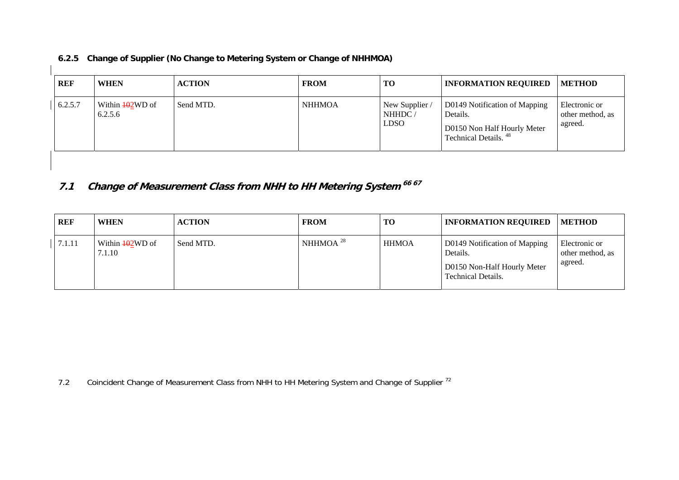| REF     | <b>WHEN</b>                          | <b>ACTION</b> | <b>FROM</b>   | <b>TO</b>                               | <b>INFORMATION REQUIRED</b>                                                                                  | <b>METHOD</b>                                |
|---------|--------------------------------------|---------------|---------------|-----------------------------------------|--------------------------------------------------------------------------------------------------------------|----------------------------------------------|
| 6.2.5.7 | Within $\frac{102}{W}$ of<br>6.2.5.6 | Send MTD.     | <b>NHHMOA</b> | New Supplier /<br>NHHDC/<br><b>LDSO</b> | D0149 Notification of Mapping<br>Details.<br>D0150 Non Half Hourly Meter<br>Technical Details. <sup>48</sup> | Electronic or<br>other method, as<br>agreed. |

**6.2.5 Change of Supplier (No Change to Metering System or Change of NHHMOA)** 

**7.1 Change of Measurement Class from NHH to HH Metering System 66 67**

| REF    | <b>WHEN</b>                           | <b>ACTION</b> | <b>FROM</b>    | <b>TO</b>    | <b>INFORMATION REQUIRED</b>                                                                           | <b>METHOD</b>                                |
|--------|---------------------------------------|---------------|----------------|--------------|-------------------------------------------------------------------------------------------------------|----------------------------------------------|
| 7.1.11 | Within $\frac{10}{2}$ WD of<br>7.1.10 | Send MTD.     | NHHMOA $^{28}$ | <b>HHMOA</b> | D0149 Notification of Mapping<br>Details.<br>D0150 Non-Half Hourly Meter<br><b>Technical Details.</b> | Electronic or<br>other method, as<br>agreed. |

7.2Coincident Change of Measurement Class from NHH to HH Metering System and Change of Supplier<sup>72</sup>